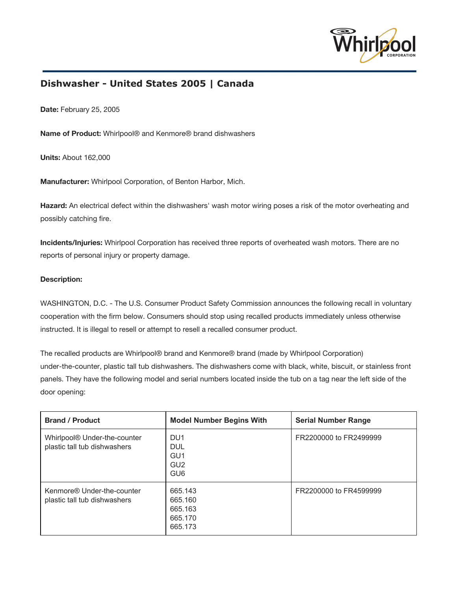

## **Dishwasher - United States 2005 | Canada**

**Date:**February 25, 2005

**Name of Product:**Whirlpool® and Kenmore® brand dishwashers

**Units:**About 162,000

**Manufacturer:**Whirlpool Corporation, of Benton Harbor, Mich.

**Hazard:**An electrical defect within the dishwashers' wash motor wiring poses a risk of the motor overheating and possibly catching fire.

**Incidents/Injuries:**Whirlpool Corporation has received three reports of overheated wash motors. There are no reports of personal injury or property damage.

## **Description:**

WASHINGTON, D.C. - The U.S. Consumer Product Safety Commission announces the following recall in voluntary cooperation with the firm below. Consumers should stop using recalled products immediately unless otherwise instructed. It is illegal to resell or attempt to resell a recalled consumer product.

The recalled products are Whirlpool® brand and Kenmore® brand (made by Whirlpool Corporation) under-the-counter, plastic tall tub dishwashers. The dishwashers come with black, white, biscuit, or stainless front panels. They have the following model and serial numbers located inside the tub on a tag near the left side of the door opening:

| <b>Brand / Product</b>                                       | <b>Model Number Begins With</b>                                                        | <b>Serial Number Range</b> |
|--------------------------------------------------------------|----------------------------------------------------------------------------------------|----------------------------|
| Whirlpool® Under-the-counter<br>plastic tall tub dishwashers | DU <sub>1</sub><br><b>DUL</b><br>GU <sub>1</sub><br>GU <sub>2</sub><br>GU <sub>6</sub> | FR2200000 to FR2499999     |
| Kenmore® Under-the-counter<br>plastic tall tub dishwashers   | 665.143<br>665.160<br>665.163<br>665,170<br>665.173                                    | FR2200000 to FR4599999     |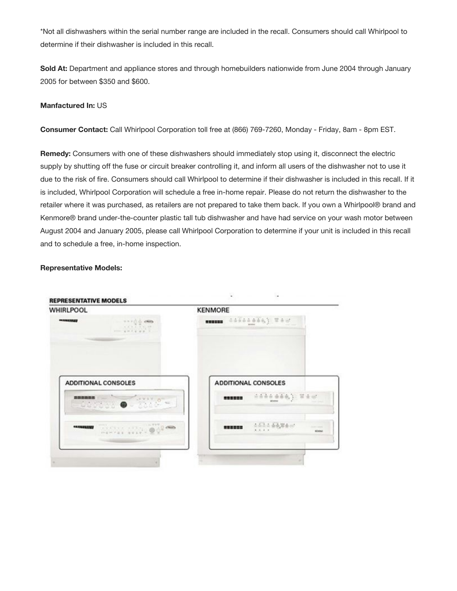\*Not all dishwashers within the serial number range are included in the recall. Consumers should call Whirlpool to determine if their dishwasher is included in this recall.

**Sold At:** Department and appliance stores and through homebuilders nationwide from June 2004 through January 2005 for between \$350 and \$600.

## **Manfactured In:** US

**Consumer Contact:** Call Whirlpool Corporation toll free at (866) 769-7260, Monday - Friday, 8am - 8pm EST.

**Remedy:** Consumers with one of these dishwashers should immediately stop using it, disconnect the electric supply by shutting off the fuse or circuit breaker controlling it, and inform all users of the dishwasher not to use it due to the risk of fire. Consumers should call Whirlpool to determine if their dishwasher is included in this recall. If it is included, Whirlpool Corporation will schedule a free in-home repair. Please do not return the dishwasher to the retailer where it was purchased, as retailers are not prepared to take them back. If you own a Whirlpool® brand and Kenmore® brand under-the-counter plastic tall tub dishwasher and have had service on your wash motor between August 2004 and January 2005, please call Whirlpool Corporation to determine if your unit is included in this recall and to schedule a free, in-home inspection.

## **Representative Models:**